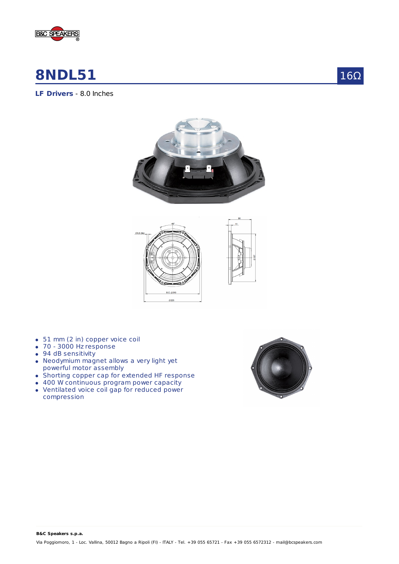

# **8NDL51**



**LF Drivers** - 8.0 Inches





- 51 mm (2 in) copper voice coil
- 70 3000 Hz response
- 94 dB sensitivity
- Neodymium magnet allows a very light yet powerful motor assembly
- Shorting copper cap for extended HF response
- 400 W continuous program power capacity
- Ventilated voice coil gap for reduced power compression



**B&C Speakers s.p.a.**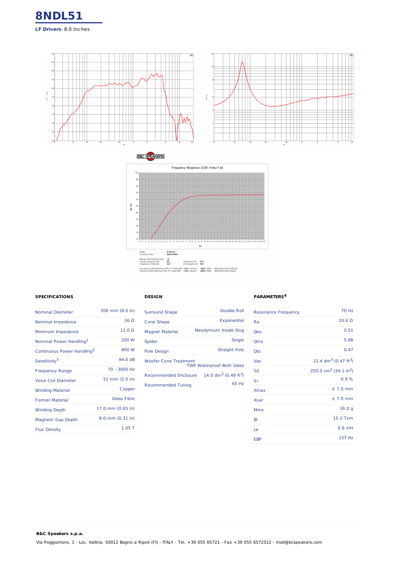





### **SPECIFICATIONS**

**B&C Speakers s.p.a.**

| <b>Nominal Diameter</b>                | 200 mm (8.0 in)    |
|----------------------------------------|--------------------|
| Nominal Impedance                      | $16\Omega$         |
| Minimum Impedance                      | $12.0 \Omega$      |
| Nominal Power Handling <sup>1</sup>    | 200 W              |
| Continuous Power Handling <sup>2</sup> | 400 W              |
| Sensitivity <sup>3</sup>               | 94.0 dB            |
| <b>Frequency Range</b>                 | 70 - 3000 Hz       |
| Voice Coil Diameter                    | 51 mm (2.0 in)     |
| <b>Winding Material</b>                | Copper             |
| <b>Former Material</b>                 | <b>Glass Fibre</b> |
| <b>Winding Depth</b>                   | 17.0 mm (0.65 in)  |
| <b>Magnetic Gap Depth</b>              | 8.0 mm (0.31 in)   |
| <b>Flux Density</b>                    | $1.05$ T           |

## **DESIGN**

| <b>Surround Shape</b>                                            | Double Roll                                  |
|------------------------------------------------------------------|----------------------------------------------|
| Cone Shape                                                       | Exponential                                  |
| <b>Magnet Material</b>                                           | Neodymium Inside Slug                        |
| Spider                                                           | Single                                       |
| Pole Design                                                      | <b>Straight Pole</b>                         |
| <b>Woofer Cone Treatment</b><br><b>TWP Waterproof Both Sides</b> |                                              |
| Recommended Enclosure                                            | 14.0 dm <sup>3</sup> (0.49 ft <sup>3</sup> ) |
| <b>Recommended Tuning</b>                                        | 65 Hz                                        |

#### **PARAMETERS 4**

| <b>Resonance Frequency</b> | <b>70 Hz</b>                                  |
|----------------------------|-----------------------------------------------|
| Re                         | $10.6 \Omega$                                 |
| Qes                        | 0.51                                          |
| Qms                        | 5.88                                          |
| <b>Qts</b>                 | 0.47                                          |
| Vas                        | 13.4 dm <sup>3</sup> (0.47 ft <sup>3</sup> )  |
| Sd                         | 220.0 cm <sup>2</sup> (34.1 in <sup>2</sup> ) |
| ηo                         | 0.9%                                          |
| <b>Xmax</b>                | $± 7.0$ mm                                    |
| Xvar                       | $± 7.0$ mm                                    |
| <b>Mms</b>                 | 26.0 g                                        |
| BI                         | 15.2 Txm                                      |
| Le                         | $0.6$ mH                                      |
| <b>EBP</b>                 | 137 Hz                                        |